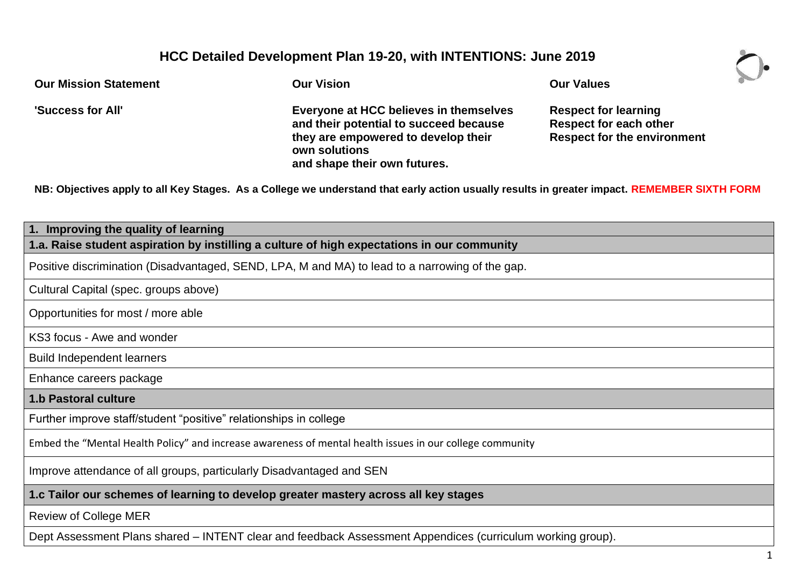## **HCC Detailed Development Plan 19-20, with INTENTIONS: June 2019**

| <b>Our Mission Statement</b> | <b>Our Vision</b>                                                                                                                                                        | <b>Our Values</b>                                                                                  |  |
|------------------------------|--------------------------------------------------------------------------------------------------------------------------------------------------------------------------|----------------------------------------------------------------------------------------------------|--|
| 'Success for All'            | Everyone at HCC believes in themselves<br>and their potential to succeed because<br>they are empowered to develop their<br>own solutions<br>and shape their own futures. | <b>Respect for learning</b><br><b>Respect for each other</b><br><b>Respect for the environment</b> |  |

**NB: Objectives apply to all Key Stages. As a College we understand that early action usually results in greater impact. REMEMBER SIXTH FORM**

| 1. Improving the quality of learning                                                                       |  |  |
|------------------------------------------------------------------------------------------------------------|--|--|
| 1.a. Raise student aspiration by instilling a culture of high expectations in our community                |  |  |
| Positive discrimination (Disadvantaged, SEND, LPA, M and MA) to lead to a narrowing of the gap.            |  |  |
| Cultural Capital (spec. groups above)                                                                      |  |  |
| Opportunities for most / more able                                                                         |  |  |
| KS3 focus - Awe and wonder                                                                                 |  |  |
| <b>Build Independent learners</b>                                                                          |  |  |
| Enhance careers package                                                                                    |  |  |
| <b>1.b Pastoral culture</b>                                                                                |  |  |
| Further improve staff/student "positive" relationships in college                                          |  |  |
| Embed the "Mental Health Policy" and increase awareness of mental health issues in our college community   |  |  |
| Improve attendance of all groups, particularly Disadvantaged and SEN                                       |  |  |
| 1.c Tailor our schemes of learning to develop greater mastery across all key stages                        |  |  |
| <b>Review of College MER</b>                                                                               |  |  |
| Dept Assessment Plans shared - INTENT clear and feedback Assessment Appendices (curriculum working group). |  |  |